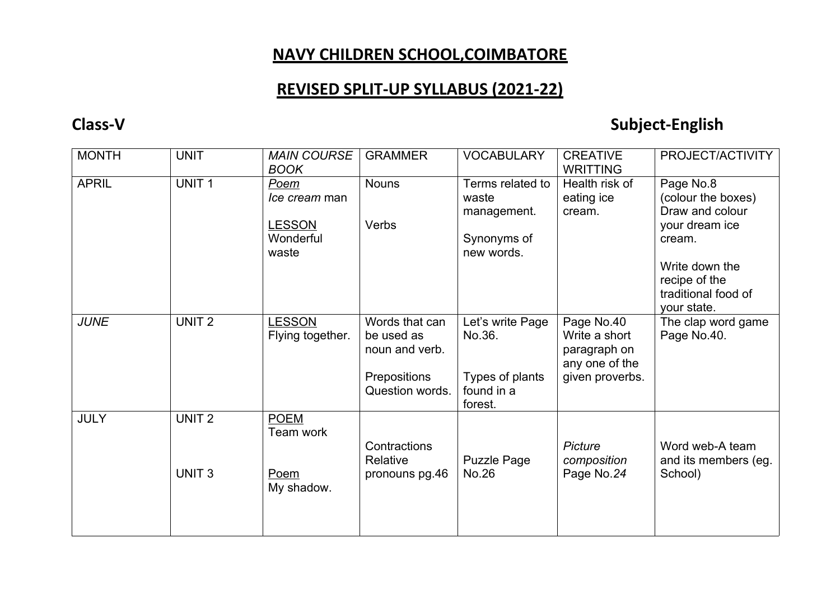## **NAVY CHILDREN SCHOOL,COIMBATORE**

## **REVISED SPLIT-UP SYLLABUS (2021-22)**

## **Class-V Subject-English**

| <b>MONTH</b> | <b>UNIT</b>       | <b>MAIN COURSE</b><br><b>BOOK</b>   | <b>GRAMMER</b>                                 | <b>VOCABULARY</b>                        | <b>CREATIVE</b><br><b>WRITTING</b>                            | PROJECT/ACTIVITY                                                      |
|--------------|-------------------|-------------------------------------|------------------------------------------------|------------------------------------------|---------------------------------------------------------------|-----------------------------------------------------------------------|
| <b>APRIL</b> | UNIT <sub>1</sub> | Poem<br>Ice cream man               | <b>Nouns</b>                                   | Terms related to<br>waste<br>management. | Health risk of<br>eating ice<br>cream.                        | Page No.8<br>(colour the boxes)<br>Draw and colour                    |
|              |                   | <b>LESSON</b><br>Wonderful<br>waste | Verbs                                          | Synonyms of<br>new words.                |                                                               | your dream ice<br>cream.                                              |
|              |                   |                                     |                                                |                                          |                                                               | Write down the<br>recipe of the<br>traditional food of<br>your state. |
| <b>JUNE</b>  | UNIT <sub>2</sub> | <b>LESSON</b><br>Flying together.   | Words that can<br>be used as<br>noun and verb. | Let's write Page<br>No.36.               | Page No.40<br>Write a short<br>paragraph on<br>any one of the | The clap word game<br>Page No.40.                                     |
|              |                   |                                     | Prepositions<br>Question words.                | Types of plants<br>found in a<br>forest. | given proverbs.                                               |                                                                       |
| <b>JULY</b>  | UNIT <sub>2</sub> | <b>POEM</b><br>Team work            | Contractions<br>Relative                       | <b>Puzzle Page</b>                       | Picture<br>composition                                        | Word web-A team<br>and its members (eg.                               |
|              | UNIT <sub>3</sub> | Poem<br>My shadow.                  | pronouns pg.46                                 | No.26                                    | Page No.24                                                    | School)                                                               |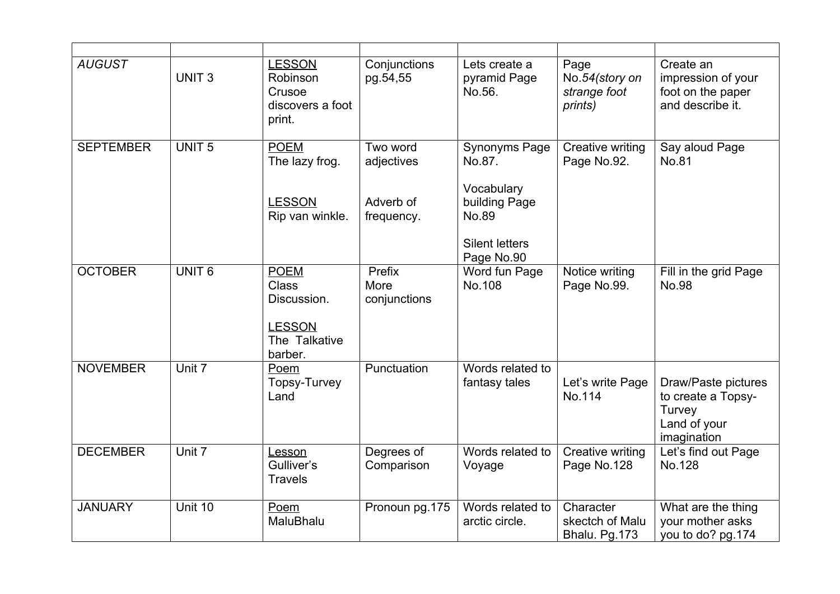| <b>AUGUST</b>    | UNIT <sub>3</sub> | <b>LESSON</b><br>Robinson<br>Crusoe<br>discovers a foot<br>print.                       | Conjunctions<br>pg.54,55                          | Lets create a<br>pyramid Page<br>No.56.                                                                       | Page<br>No.54(story on<br>strange foot<br>prints) | Create an<br>impression of your<br>foot on the paper<br>and describe it.           |
|------------------|-------------------|-----------------------------------------------------------------------------------------|---------------------------------------------------|---------------------------------------------------------------------------------------------------------------|---------------------------------------------------|------------------------------------------------------------------------------------|
| <b>SEPTEMBER</b> | <b>UNIT 5</b>     | <b>POEM</b><br>The lazy frog.<br><b>LESSON</b><br>Rip van winkle.                       | Two word<br>adjectives<br>Adverb of<br>frequency. | <b>Synonyms Page</b><br>No.87.<br>Vocabulary<br>building Page<br>No.89<br><b>Silent letters</b><br>Page No.90 | Creative writing<br>Page No.92.                   | Say aloud Page<br>No.81                                                            |
| <b>OCTOBER</b>   | UNIT <sub>6</sub> | <b>POEM</b><br><b>Class</b><br>Discussion.<br><b>LESSON</b><br>The Talkative<br>barber. | Prefix<br>More<br>conjunctions                    | Word fun Page<br>No.108                                                                                       | Notice writing<br>Page No.99.                     | Fill in the grid Page<br><b>No.98</b>                                              |
| <b>NOVEMBER</b>  | Unit 7            | Poem<br>Topsy-Turvey<br>Land                                                            | Punctuation                                       | Words related to<br>fantasy tales                                                                             | Let's write Page<br>No.114                        | Draw/Paste pictures<br>to create a Topsy-<br>Turvey<br>Land of your<br>imagination |
| <b>DECEMBER</b>  | Unit 7            | Lesson<br>Gulliver's<br><b>Travels</b>                                                  | Degrees of<br>Comparison                          | Words related to<br>Voyage                                                                                    | Creative writing<br>Page No.128                   | Let's find out Page<br>No.128                                                      |
| <b>JANUARY</b>   | Unit 10           | Poem<br>MaluBhalu                                                                       | Pronoun pg.175                                    | Words related to<br>arctic circle.                                                                            | Character<br>skectch of Malu<br>Bhalu. Pg.173     | What are the thing<br>your mother asks<br>you to do? pg.174                        |